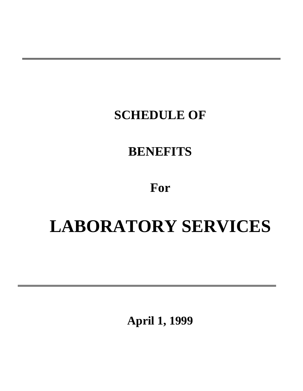### **SCHEDULE OF**

### **BENEFITS**

### **For**

# **LABORATORY SERVICES**

**April 1, 1999**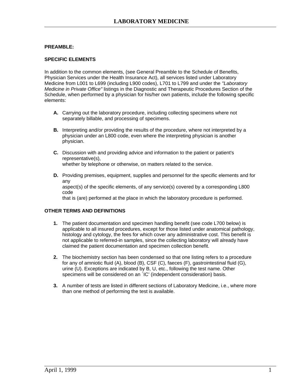#### **PREAMBLE:**

#### **SPECIFIC ELEMENTS**

In addition to the common elements, (see General Preamble to the Schedule of Benefits, Physician Services under the Health Insurance Act), all services listed under Laboratory Medicine from L001 to L699 (including L900 codes), L701 to L799 and under the *"Laboratory Medicine in Private Office"* listings in the Diagnostic and Therapeutic Procedures Section of the Schedule, when performed by a physician for his/her own patients, include the following specific elements:

- **A.** Carrying out the laboratory procedure, including collecting specimens where not separately billable, and processing of specimens.
- **B.** Interpreting and/or providing the results of the procedure, where not interpreted by a physician under an L800 code, even where the interpreting physician is another physician.
- **C.** Discussion with and providing advice and information to the patient or patient's representative(s), whether by telephone or otherwise, on matters related to the service.
- **D.** Providing premises, equipment, supplies and personnel for the specific elements and for any aspect(s) of the specific elements, of any service(s) covered by a corresponding L800

code

that is (are) performed at the place in which the laboratory procedure is performed.

#### **OTHER TERMS AND DEFINITIONS**

- **1.** The patient documentation and specimen handling benefit (see code L700 below) is applicable to all insured procedures, except for those listed under anatomical pathology, histology and cytology, the fees for which cover any administrative cost. This benefit is not applicable to referred-in samples, since the collecting laboratory will already have claimed the patient documentation and specimen collection benefit.
- **2.** The biochemistry section has been condensed so that one listing refers to a procedure for any of amniotic fluid (A), blood (B), CSF (C), faeces (F), gastrointestinal fluid (G), urine (U). Exceptions are indicated by B, U, etc., following the test name. Other specimens will be considered on an `IC' (independent consideration) basis.
- **3.** A number of tests are listed in different sections of Laboratory Medicine, i.e., where more than one method of performing the test is available.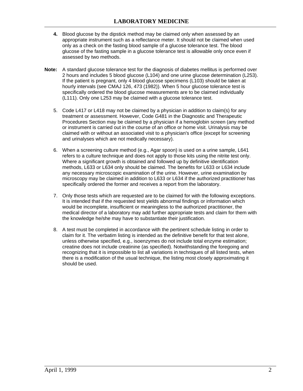- **4.** Blood glucose by the dipstick method may be claimed only when assessed by an appropriate instrument such as a reflectance meter. It should not be claimed when used only as a check on the fasting blood sample of a glucose tolerance test. The blood glucose of the fasting sample in a glucose tolerance test is allowable only once even if assessed by two methods.
- **Note:** A standard glucose tolerance test for the diagnosis of diabetes mellitus is performed over 2 hours and includes 5 blood glucose (L104) and one urine glucose determination (L253). If the patient is pregnant, only 4 blood glucose specimens (L103) should be taken at hourly intervals (see CMAJ 126, 473 (1982)). When 5 hour glucose tolerance test is specifically ordered the blood glucose measurements are to be claimed individually (L111). Only one L253 may be claimed with a glucose tolerance test.
	- 5. Code L417 or L418 may not be claimed by a physician in addition to claim(s) for any treatment or assessment. However, Code G481 in the Diagnostic and Therapeutic Procedures Section may be claimed by a physician if a hemoglobin screen (any method or instrument is carried out in the course of an office or home visit. Urinalysis may be claimed with or without an associated visit to a physician's office (except for screening and urinalyses which are not medically necessary).
	- 6. When a screening culture method (e.g., Agar spoon) is used on a urine sample, L641 refers to a culture technique and does not apply to those kits using the nitrite test only. Where a significant growth is obtained and followed up by definitive identification methods, L633 or L634 only should be claimed. The benefits for L633 or L634 include any necessary microscopic examination of the urine. However, urine examination by microscopy may be claimed in addition to L633 or L634 if the authorized practitioner has specifically ordered the former and receives a report from the laboratory.
	- 7. Only those tests which are requested are to be claimed for with the following exceptions. It is intended that if the requested test yields abnormal findings or information which would be incomplete, insufficient or meaningless to the authorized practitioner, the medical director of a laboratory may add further appropriate tests and claim for them with the knowledge he/she may have to substantiate their justification.
	- 8. A test must be completed in accordance with the pertinent schedule listing in order to claim for it. The verbatim listing is intended as the definitive benefit for that test alone, unless otherwise specified, e.g., isoenzymes do not include total enzyme estimation; creatine does not include creatinine (as specified). Notwithstanding the foregoing and recognizing that it is impossible to list all variations in techniques of all listed tests, when there is a modification of the usual technique, the listing most closely approximating it should be used.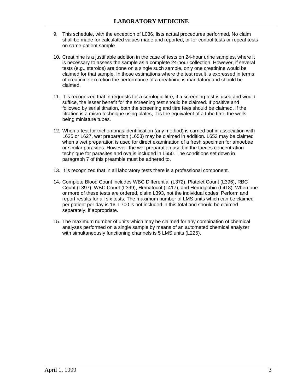- 9. This schedule, with the exception of L036, lists actual procedures performed. No claim shall be made for calculated values made and reported, or for control tests or repeat tests on same patient sample.
- 10. Creatinine is a justifiable addition in the case of tests on 24-hour urine samples, where it is necessary to assess the sample as a complete 24-hour collection. However, if several tests (e.g., steroids) are done on a single such sample, only one creatinine would be claimed for that sample. In those estimations where the test result is expressed in terms of creatinine excretion the performance of a creatinine is mandatory and should be claimed.
- 11. It is recognized that in requests for a serologic titre, if a screening test is used and would suffice, the lesser benefit for the screening test should be claimed. If positive and followed by serial titration, both the screening and titre fees should be claimed. If the titration is a micro technique using plates, it is the equivalent of a tube titre, the wells being miniature tubes.
- 12. When a test for trichomonas identification (any method) is carried out in association with L625 or L627, wet preparation (L653) may be claimed in addition. L653 may be claimed when a wet preparation is used for direct examination of a fresh specimen for amoebae or similar parasites. However, the wet preparation used in the faeces concentration technique for parasites and ova is included in L650. The conditions set down in paragraph 7 of this preamble must be adhered to.
- 13. It is recognized that in all laboratory tests there is a professional component.
- 14. Complete Blood Count includes WBC Differential (L372), Platelet Count (L396), RBC Count (L397), WBC Count (L399), Hematocrit (L417), and Hemoglobin (L418). When one or more of these tests are ordered, claim L393, not the individual codes. Perform and report results for all six tests. The maximum number of LMS units which can be claimed per patient per day is 16. L700 is not included in this total and should be claimed separately, if appropriate.
- 15. The maximum number of units which may be claimed for any combination of chemical analyses performed on a single sample by means of an automated chemical analyzer with simultaneously functioning channels is 5 LMS units (L225).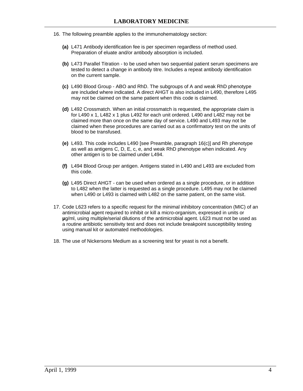- 16. The following preamble applies to the immunohematology section:
	- **(a)** L471 Antibody identification fee is per specimen regardless of method used. Preparation of eluate and/or antibody absorption is included.
	- **(b)** L473 Parallel Titration to be used when two sequential patient serum specimens are tested to detect a change in antibody titre. Includes a repeat antibody identification on the current sample.
	- **(c)** L490 Blood Group ABO and RhD. The subgroups of A and weak RhD phenotype are included where indicated. A direct AHGT is also included in L490, therefore L495 may not be claimed on the same patient when this code is claimed.
	- **(d)** L492 Crossmatch. When an initial crossmatch is requested, the appropriate claim is for L490 x 1, L482 x 1 plus L492 for each unit ordered. L490 and L482 may not be claimed more than once on the same day of service. L490 and L493 may not be claimed when these procedures are carried out as a confirmatory test on the units of blood to be transfused.
	- **(e)** L493. This code includes L490 [see Preamble, paragraph 16(c)] and Rh phenotype as well as antigens C, D, E, c, e, and weak RhD phenotype when indicated. Any other antigen is to be claimed under L494.
	- **(f)** L494 Blood Group per antigen. Antigens stated in L490 and L493 are excluded from this code.
	- **(g)** L495 Direct AHGT can be used when ordered as a single procedure, or in addition to L482 when the latter is requested as a single procedure. L495 may not be claimed when L490 or L493 is claimed with L482 on the same patient, on the same visit.
- 17. Code L623 refers to a specific request for the minimal inhibitory concentration (MIC) of an antimicrobial agent required to inhibit or kill a micro-organism, expressed in units or **µ**g/ml, using multiple/serial dilutions of the antimicrobial agent. L623 must not be used as a routine antibiotic sensitivity test and does not include breakpoint susceptibility testing using manual kit or automated methodologies.
- 18. The use of Nickersons Medium as a screening test for yeast is not a benefit.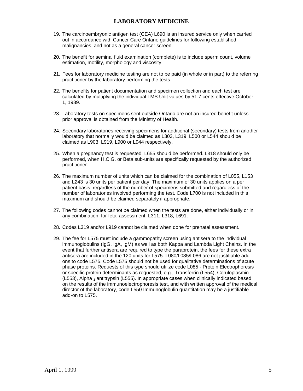- 19. The carcinoembryonic antigen test (CEA) L690 is an insured service only when carried out in accordance with Cancer Care Ontario guidelines for following established malignancies, and not as a general cancer screen.
- 20. The benefit for seminal fluid examination (complete) is to include sperm count, volume estimation, motility, morphology and viscosity.
- 21. Fees for laboratory medicine testing are not to be paid (in whole or in part) to the referring practitioner by the laboratory performing the tests.
- 22. The benefits for patient documentation and specimen collection and each test are calculated by multiplying the individual LMS Unit values by 51.7 cents effective October 1, 1989.
- 23. Laboratory tests on specimens sent outside Ontario are not an insured benefit unless prior approval is obtained from the Ministry of Health.
- 24. Secondary laboratories receiving specimens for additional (secondary) tests from another laboratory that normally would be claimed as L303, L319, L500 or L544 should be claimed as L903, L919, L900 or L944 respectively.
- 25. When a pregnancy test is requested, L655 should be performed. L318 should only be performed, when H.C.G. or Beta sub-units are specifically requested by the authorized practitioner.
- 26. The maximum number of units which can be claimed for the combination of L055, L153 and L243 is 30 units per patient per day. The maximum of 30 units applies on a per patient basis, regardless of the number of specimens submitted and regardless of the number of laboratories involved performing the test. Code L700 is not included in this maximum and should be claimed separately if appropriate.
- 27. The following codes cannot be claimed when the tests are done, either individually or in any combination, for fetal assessment: L311, L318, L691.
- 28. Codes L319 and/or L919 cannot be claimed when done for prenatal assessment.
- 29. The fee for L575 must include a gammopathy screen using antisera to the individual immunoglobulins (IgG, IgA, IgM) as well as both Kappa and Lambda Light Chains. In the event that further antisera are required to type the paraprotein, the fees for these extra antisera are included in the 120 units for L575. L080/L085/L086 are not justifiable addons to code L575. Code L575 should not be used for qualitative determinations of acute phase proteins. Requests of this type should utilize code L085 - Protein Electrophoresis or specific protein determinants as requested, e.g., Transferrin (L554), Ceruloplasmin (L553), Alpha **<sup>1</sup>** antitrypsin (L555). In appropriate cases when clinically indicated based on the results of the immunoelectrophoresis test, and with written approval of the medical director of the laboratory, code L550 Immunoglobulin quantitation may be a justifiable add-on to L575.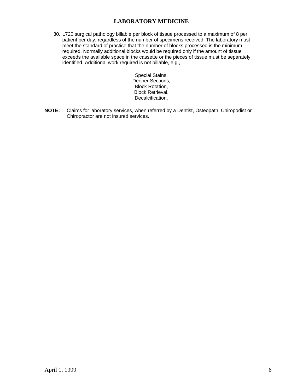30. L720 surgical pathology billable per block of tissue processed to a maximum of 8 per patient per day, regardless of the number of specimens received. The laboratory must meet the standard of practice that the number of blocks processed is the minimum required. Normally additional blocks would be required only if the amount of tissue exceeds the available space in the cassette or the pieces of tissue must be separately identified. Additional work required is not billable, e.g.,

> Special Stains, Deeper Sections, Block Rotation, Block Retrieval, Decalcification.

**NOTE:** Claims for laboratory services, when referred by a Dentist, Osteopath, Chiropodist or Chiropractor are not insured services.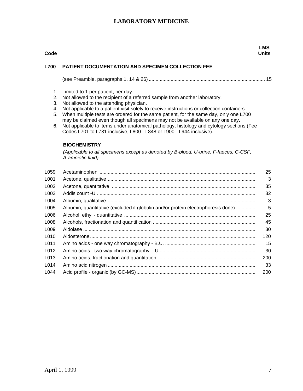#### **Code LMS Units L700 PATIENT DOCUMENTATION AND SPECIMEN COLLECTION FEE**  (see Preamble, paragraphs 1, 14 & 26) ..................................................................................... 15 1. Limited to 1 per patient, per day. 2. Not allowed to the recipient of a referred sample from another laboratory. 3. Not allowed to the attending physician. 4. Not applicable to a patient visit solely to receive instructions or collection containers. 5. When multiple tests are ordered for the same patient, for the same day, only one L700 may be claimed even though all specimens may not be available on any one day. 6. Not applicable to items under anatomical pathology, histology and cytology sections (Fee Codes L701 to L731 inclusive, L800 - L848 or L900 - L944 inclusive). **BIOCHEMISTRY** *(Applicable to all specimens except as denoted by B-blood, U-urine, F-faeces, C-CSF, A-amniotic fluid).* L059 Acetaminophen .................................................................................................................. 25 L001 Acetone, qualitative............................................................................................................. 3 L002 Acetone, quantitative ......................................................................................................... 35 L003 Addis count -U .................................................................................................................... 32 L004 Albumin, qualitative............................................................................................................. 3 L005 Albumin, quantitative (excluded if globulin and/or protein electrophoresis done) .............. 5 L006 Alcohol, ethyl - quantitative ................................................................................................ 25 L008 Alcohols, fractionation and quantification ........................................................................... 45 L009 Aldolase .............................................................................................................................. 30 L010 Aldosterone......................................................................................................................... 120 L011 Amino acids - one way chromatography - B.U. .................................................................. 15 L012 Amino acids - two way chromatography – U ...................................................................... 30 L013 Amino acids, fractionation and quantitation ....................................................................... 200 L014 Amino acid nitrogen ............................................................................................................ 33 L044 Acid profile - organic (by GC-MS)....................................................................................... 200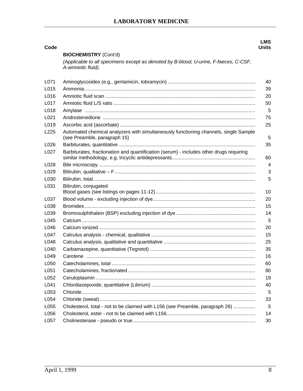| Code             |                                                                                                                      | <b>LMS</b><br><b>Units</b> |
|------------------|----------------------------------------------------------------------------------------------------------------------|----------------------------|
|                  | <b>BIOCHEMISTRY (Cont'd)</b>                                                                                         |                            |
|                  | (Applicable to all specimens except as denoted by B-blood, U-urine, F-faeces, C-CSF,<br>A-amniotic fluid).           |                            |
| L071             |                                                                                                                      | 40                         |
| L015             |                                                                                                                      | 39                         |
| L016             |                                                                                                                      | 20                         |
| L017             |                                                                                                                      | 50                         |
| L018             |                                                                                                                      | 5                          |
| L021             |                                                                                                                      | 75                         |
| L019             |                                                                                                                      | 25                         |
| L <sub>225</sub> | Automated chemical analyzers with simultaneously functioning channels, single Sample<br>(see Preamble, paragraph 15) | 5                          |
| L026             |                                                                                                                      | 35                         |
| L027             | Barbiturates, fractionation and quantification (serum) - includes other drugs requiring                              | 60                         |
| L028             |                                                                                                                      | $\overline{4}$             |
| L029             |                                                                                                                      | 3                          |
| L030             |                                                                                                                      | 5                          |
| L031             | Bilirubin, conjugated                                                                                                | 10                         |
| L037             |                                                                                                                      | 20                         |
| L038             |                                                                                                                      | 15                         |
| L039             |                                                                                                                      | 14                         |
| L045             |                                                                                                                      | 5                          |
| L046             |                                                                                                                      | 20                         |
| L047             |                                                                                                                      | 15                         |
| L048             |                                                                                                                      | 25                         |
| L040             |                                                                                                                      | 35                         |
| L049             |                                                                                                                      | 16                         |
| L050             |                                                                                                                      | 60                         |
| L051             |                                                                                                                      | 80                         |
| L052             |                                                                                                                      | 19                         |
| L041             |                                                                                                                      | 40                         |
| L053             |                                                                                                                      | 5                          |
| L054             |                                                                                                                      | 33                         |
| L055             | Cholesterol, total - not to be claimed with L156 (see Preamble, paragraph 26)                                        | 5                          |
| L056             |                                                                                                                      | 14                         |
| L057             |                                                                                                                      | 30                         |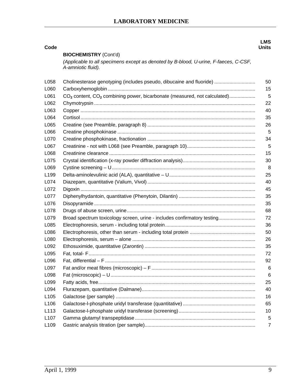|                  |                                                                                                            | <b>LMS</b>   |
|------------------|------------------------------------------------------------------------------------------------------------|--------------|
| Code             | <b>BIOCHEMISTRY (Cont'd)</b>                                                                               | <b>Units</b> |
|                  | (Applicable to all specimens except as denoted by B-blood, U-urine, F-faeces, C-CSF,<br>A-amniotic fluid). |              |
| L058             | Cholinesterase genotyping (includes pseudo, dibucaine and fluoride)                                        | 50           |
| L060             |                                                                                                            | 15           |
| L061             | CO <sub>2</sub> content, CO <sub>2</sub> combining power, bicarbonate (measured, not calculated)           | 5            |
| L062             |                                                                                                            | 22           |
| L063             |                                                                                                            | 40           |
| L064             |                                                                                                            | 35           |
| L065             |                                                                                                            | 26           |
| L066             |                                                                                                            | 5            |
| L070             |                                                                                                            | 34           |
| L067             |                                                                                                            | 5            |
| L068             |                                                                                                            | 15           |
| L075             |                                                                                                            | 30           |
| L069             |                                                                                                            | 8            |
| L <sub>199</sub> |                                                                                                            | 25           |
| L074             |                                                                                                            | 40           |
| L072             |                                                                                                            | 45           |
| L077             |                                                                                                            | 35           |
| L076             |                                                                                                            | 35           |
| L078             |                                                                                                            | 68           |
| L079             | Broad spectrum toxicology screen, urine - includes confirmatory testing                                    | 72           |
| L085             |                                                                                                            | 36           |
| L086             |                                                                                                            | 50           |
| L080             |                                                                                                            | 26           |
| L092             |                                                                                                            | 35           |
| L095             |                                                                                                            | 72           |
| L096             |                                                                                                            | 92           |
| L097             |                                                                                                            | 6            |
| L098             |                                                                                                            | 6            |
| L099             |                                                                                                            | 25           |
| L094             |                                                                                                            | 40           |
| L <sub>105</sub> |                                                                                                            | 16           |
| L106             |                                                                                                            | 65           |
| L <sub>113</sub> |                                                                                                            | 10           |
| L <sub>107</sub> |                                                                                                            | 5            |
| L109             |                                                                                                            | 7            |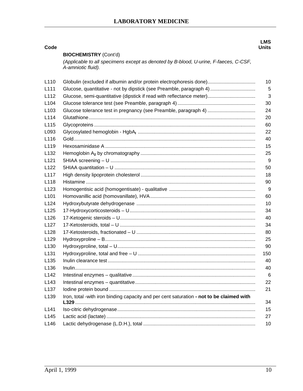| Code             |                                                                                                            | <b>LMS</b><br><b>Units</b> |
|------------------|------------------------------------------------------------------------------------------------------------|----------------------------|
|                  | <b>BIOCHEMISTRY (Cont'd)</b>                                                                               |                            |
|                  | (Applicable to all specimens except as denoted by B-blood, U-urine, F-faeces, C-CSF,<br>A-amniotic fluid). |                            |
| L <sub>110</sub> | Globulin (excluded if albumin and/or protein electrophoresis done)                                         | 10                         |
| L <sub>111</sub> | Glucose, quantitative - not by dipstick (see Preamble, paragraph 4)                                        | 5                          |
| L <sub>112</sub> |                                                                                                            | 3                          |
| L <sub>104</sub> |                                                                                                            | 30                         |
| L <sub>103</sub> |                                                                                                            | 24                         |
| L <sub>114</sub> |                                                                                                            | 20                         |
| L <sub>115</sub> |                                                                                                            | 60                         |
| L093             |                                                                                                            | 22                         |
| L116             |                                                                                                            | 40                         |
| L <sub>119</sub> |                                                                                                            | 15                         |
| L <sub>132</sub> |                                                                                                            | 25                         |
| L <sub>121</sub> |                                                                                                            | 9                          |
| L <sub>122</sub> |                                                                                                            | 50                         |
| L117             |                                                                                                            | 18                         |
| L118             |                                                                                                            | 90                         |
| L <sub>123</sub> |                                                                                                            | 9                          |
| L <sub>101</sub> |                                                                                                            | 60                         |
| L <sub>124</sub> |                                                                                                            | 10                         |
| L <sub>125</sub> |                                                                                                            | 34                         |
| L <sub>126</sub> |                                                                                                            | 40                         |
| L <sub>127</sub> |                                                                                                            | 34                         |
| L <sub>128</sub> |                                                                                                            | 80                         |
| L <sub>129</sub> |                                                                                                            | 25                         |
| L <sub>130</sub> |                                                                                                            | 90                         |
| L <sub>131</sub> |                                                                                                            | 150                        |
| L135             |                                                                                                            | 40                         |
| L <sub>136</sub> |                                                                                                            | 40                         |
| L <sub>142</sub> |                                                                                                            | 6                          |
| L <sub>143</sub> |                                                                                                            | 22                         |
| L <sub>137</sub> |                                                                                                            | 21                         |
| L139             | Iron, total -with iron binding capacity and per cent saturation - not to be claimed with                   | 34                         |
| L <sub>141</sub> |                                                                                                            | 15                         |
| L <sub>145</sub> |                                                                                                            | 27                         |
| L146             |                                                                                                            | 10                         |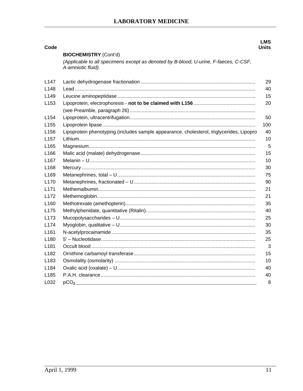| Code                                 |                                                                                                            | <b>LMS</b><br>Units |
|--------------------------------------|------------------------------------------------------------------------------------------------------------|---------------------|
|                                      | <b>BIOCHEMISTRY (Cont'd)</b>                                                                               |                     |
|                                      | (Applicable to all specimens except as denoted by B-blood, U-urine, F-faeces, C-CSF,<br>A-amniotic fluid). |                     |
| L <sub>147</sub>                     |                                                                                                            | 29                  |
| L <sub>148</sub>                     |                                                                                                            | 40                  |
| L149                                 |                                                                                                            | 15                  |
| L <sub>153</sub>                     |                                                                                                            | 20                  |
|                                      |                                                                                                            |                     |
| L <sub>154</sub>                     |                                                                                                            | 50                  |
| L <sub>155</sub>                     |                                                                                                            | 100                 |
| L <sub>156</sub><br>L <sub>157</sub> | Lipoprotein phenotyping (includes sample appearance, cholesterol, triglycerides, Lipopro                   | 40<br>10            |
| L <sub>165</sub>                     |                                                                                                            | 5                   |
| L <sub>166</sub>                     |                                                                                                            | 15                  |
| L167                                 |                                                                                                            | 10                  |
| L <sub>168</sub>                     |                                                                                                            | 30                  |
| L <sub>169</sub>                     |                                                                                                            | 75                  |
| L <sub>170</sub>                     |                                                                                                            | 90                  |
| L171                                 |                                                                                                            | 21                  |
| L <sub>172</sub>                     |                                                                                                            | 21                  |
|                                      |                                                                                                            | 35                  |
| L <sub>160</sub><br>L175             |                                                                                                            | 40                  |
|                                      |                                                                                                            | 25                  |
| L <sub>173</sub>                     |                                                                                                            | 30                  |
| L <sub>174</sub>                     |                                                                                                            |                     |
| L161                                 |                                                                                                            | 35                  |
| L <sub>180</sub>                     |                                                                                                            | 25                  |
| L181                                 |                                                                                                            | 3                   |
| L <sub>1</sub> 82                    |                                                                                                            | 15                  |
| L183                                 |                                                                                                            | 10                  |
| L <sub>1</sub> 84                    |                                                                                                            | 40                  |
| L <sub>185</sub>                     |                                                                                                            | 40                  |
| L032                                 |                                                                                                            | 8                   |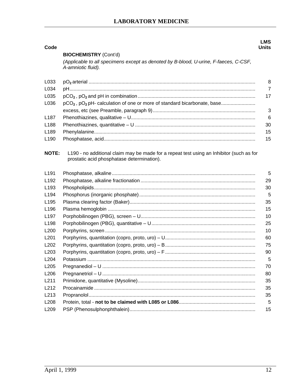| Code             |                                                                                                                                        | LMS<br><b>Units</b> |
|------------------|----------------------------------------------------------------------------------------------------------------------------------------|---------------------|
|                  | <b>BIOCHEMISTRY (Cont'd)</b>                                                                                                           |                     |
|                  | (Applicable to all specimens except as denoted by B-blood, U-urine, F-faeces, C-CSF,<br>A-amniotic fluid).                             |                     |
| L033             |                                                                                                                                        | 8                   |
| L034             |                                                                                                                                        | $\overline{7}$      |
| L035             |                                                                                                                                        | 17                  |
| L036             | pCO <sub>2</sub> , pO <sub>2</sub> pH- calculation of one or more of standard bicarbonate, base                                        |                     |
|                  |                                                                                                                                        | 3                   |
| L <sub>187</sub> |                                                                                                                                        | 6                   |
| L <sub>188</sub> |                                                                                                                                        | 30                  |
| L <sub>189</sub> |                                                                                                                                        | 15                  |
| L <sub>190</sub> |                                                                                                                                        | 15                  |
| <b>NOTE:</b>     | L190 - no additional claim may be made for a repeat test using an Inhibitor (such as for<br>prostatic acid phosphatase determination). |                     |
| L <sub>191</sub> |                                                                                                                                        | 5                   |
| L <sub>192</sub> |                                                                                                                                        | 29                  |
| L <sub>193</sub> |                                                                                                                                        | 30                  |
| L <sub>194</sub> |                                                                                                                                        | 5                   |
| L <sub>195</sub> |                                                                                                                                        | 35                  |
| L <sub>196</sub> |                                                                                                                                        | 15                  |
| L <sub>197</sub> |                                                                                                                                        | 10                  |
| L198             |                                                                                                                                        | 25                  |
| L <sub>200</sub> |                                                                                                                                        | 10                  |
| L <sub>201</sub> |                                                                                                                                        | 60                  |
| L <sub>202</sub> |                                                                                                                                        | 75                  |
| L <sub>203</sub> |                                                                                                                                        | 90                  |
| L204             |                                                                                                                                        | 5                   |
| L205             |                                                                                                                                        | 70                  |
| L206             |                                                                                                                                        | 80                  |
| L211             |                                                                                                                                        | 35                  |
| L212             |                                                                                                                                        | 35                  |
| L213             |                                                                                                                                        | 35                  |
| L208             |                                                                                                                                        | 5                   |
| L209             |                                                                                                                                        | 15                  |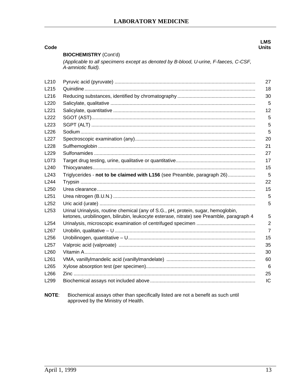| Code             |                                                                                                                                                                               | <b>LMS</b><br>Units |
|------------------|-------------------------------------------------------------------------------------------------------------------------------------------------------------------------------|---------------------|
|                  | <b>BIOCHEMISTRY (Cont'd)</b>                                                                                                                                                  |                     |
|                  | (Applicable to all specimens except as denoted by B-blood, U-urine, F-faeces, C-CSF,<br>A-amniotic fluid).                                                                    |                     |
| L <sub>210</sub> |                                                                                                                                                                               | 27                  |
| L215             |                                                                                                                                                                               | 18                  |
| L <sub>216</sub> |                                                                                                                                                                               | 30                  |
| L <sub>220</sub> |                                                                                                                                                                               | 5                   |
| L <sub>221</sub> |                                                                                                                                                                               | 12                  |
| L222             |                                                                                                                                                                               | 5                   |
| L <sub>223</sub> |                                                                                                                                                                               | 5                   |
| L226             |                                                                                                                                                                               | 5                   |
| L227             |                                                                                                                                                                               | 20                  |
| L228             |                                                                                                                                                                               | 21                  |
| L229             |                                                                                                                                                                               | 27                  |
| L073             |                                                                                                                                                                               | 17                  |
| L <sub>240</sub> |                                                                                                                                                                               | 15                  |
| L <sub>243</sub> | Triglycerides - not to be claimed with L156 (see Preamble, paragraph 26)                                                                                                      | 5                   |
| L <sub>244</sub> |                                                                                                                                                                               | 22                  |
| L <sub>250</sub> |                                                                                                                                                                               | 15                  |
| L <sub>251</sub> |                                                                                                                                                                               | 5                   |
| L <sub>252</sub> |                                                                                                                                                                               | 5                   |
| L <sub>253</sub> | Urinal Urinalysis, routine chemical (any of S.G., pH, protein, sugar, hemoglobin,<br>ketones, urobilinogen, bilirubin, leukocyte esterase, nitrate) see Preamble, paragraph 4 | 5                   |
| L <sub>254</sub> |                                                                                                                                                                               | $\overline{2}$      |
| L <sub>267</sub> |                                                                                                                                                                               | $\overline{7}$      |
| L <sub>256</sub> |                                                                                                                                                                               | 15                  |
| L <sub>257</sub> |                                                                                                                                                                               | 35                  |
| L <sub>260</sub> |                                                                                                                                                                               | 30                  |
| L <sub>261</sub> |                                                                                                                                                                               | 60                  |
| L <sub>265</sub> |                                                                                                                                                                               | 6                   |
| L <sub>266</sub> |                                                                                                                                                                               | 25                  |
| L <sub>299</sub> |                                                                                                                                                                               | IC                  |
|                  |                                                                                                                                                                               |                     |

Biochemical assays other than specifically listed are not a benefit as such until approved by the Ministry of Health. **NOTE:**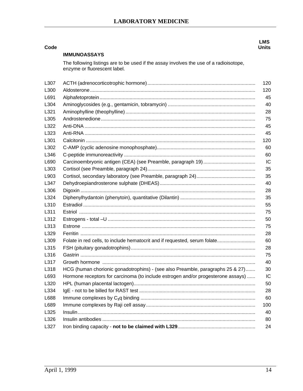| Code |                                                                                                                        | <b>LMS</b><br><b>Units</b> |
|------|------------------------------------------------------------------------------------------------------------------------|----------------------------|
|      | <b>IMMUNOASSAYS</b>                                                                                                    |                            |
|      | The following listings are to be used if the assay involves the use of a radioisotope,<br>enzyme or fluorescent label. |                            |
| L307 |                                                                                                                        | 120                        |
| L300 |                                                                                                                        | 120                        |
| L691 |                                                                                                                        | 45                         |
| L304 |                                                                                                                        | 40                         |
| L321 |                                                                                                                        | 28                         |
| L305 |                                                                                                                        | 75                         |
| L322 |                                                                                                                        | 45                         |
| L323 |                                                                                                                        | 45                         |
| L301 |                                                                                                                        | 120                        |
| L302 |                                                                                                                        | 60                         |
| L346 |                                                                                                                        | 60                         |
| L690 |                                                                                                                        | IC                         |
| L303 |                                                                                                                        | 35                         |
| L903 |                                                                                                                        | 35                         |
| L347 |                                                                                                                        | 40                         |
| L306 |                                                                                                                        | 28                         |
| L324 |                                                                                                                        | 35                         |
| L310 |                                                                                                                        | 55                         |
| L311 |                                                                                                                        | 75                         |
| L312 |                                                                                                                        | 50                         |
| L313 |                                                                                                                        | 75                         |
| L329 |                                                                                                                        | 28                         |
| L309 | Folate in red cells, to include hematocrit and if requested, serum folate                                              | 60                         |
| L315 |                                                                                                                        | 28                         |
| L316 |                                                                                                                        | 75                         |
| L317 |                                                                                                                        | 40                         |
| L318 | HCG (human chorionic gonadotrophins) - (see also Preamble, paragraphs 25 & 27)                                         | 30                         |
| L693 | Hormone receptors for carcinoma (to include estrogen and/or progesterone assays)                                       | IC                         |
| L320 |                                                                                                                        | 50                         |
| L334 |                                                                                                                        | 28                         |
| L688 |                                                                                                                        | 60                         |
| L689 |                                                                                                                        | 100                        |
| L325 |                                                                                                                        | 40                         |
| L326 |                                                                                                                        | 80                         |
| L327 |                                                                                                                        | 24                         |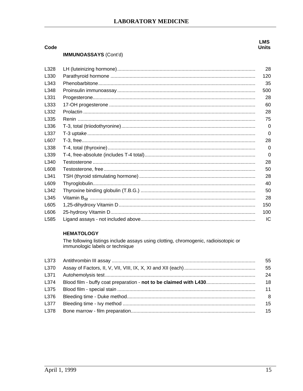### **LMS Units**

#### **IMMUNOASSAYS (Cont'd)**

Code

| L328 | 28       |
|------|----------|
| L330 | 120      |
| L343 | 35       |
| L348 | 500      |
| L331 | 28       |
| L333 | 60       |
| L332 | 28       |
| L335 | 75       |
| L336 | 0        |
| L337 | $\Omega$ |
| L607 | 28       |
| L338 | 0        |
| L339 | $\Omega$ |
| L340 | 28       |
| L608 | 50       |
| L341 | 28       |
| L609 | 40       |
| L342 | 50       |
| L345 | 28       |
| L605 | 150      |
| L606 | 100      |
| L585 | IC       |

#### **HEMATOLOGY**

The following listings include assays using clotting, chromogenic, radioisotopic or immunologic labels or technique

|      | 55  |
|------|-----|
|      | 55  |
|      | 24  |
|      | -18 |
|      | 11  |
|      | - 8 |
| L377 | 15  |
|      | 15  |
|      |     |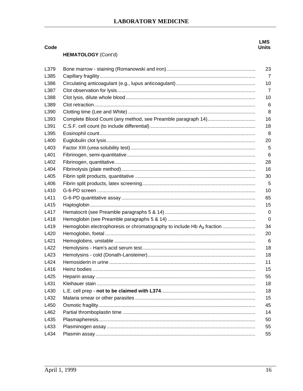## **HEMATOLOGY** (Cont'd)

| L379 |                                                                                    | 23             |
|------|------------------------------------------------------------------------------------|----------------|
| L385 |                                                                                    | 7              |
| L386 |                                                                                    | 10             |
| L387 |                                                                                    | $\overline{7}$ |
| L388 |                                                                                    | 10             |
| L389 |                                                                                    | 6              |
| L390 |                                                                                    | 8              |
| L393 |                                                                                    | 16             |
| L391 |                                                                                    | 18             |
| L395 |                                                                                    | 8              |
| L400 |                                                                                    | 20             |
| L403 |                                                                                    | 5              |
| L401 |                                                                                    | 6              |
| L402 |                                                                                    | 28             |
| L404 |                                                                                    | 16             |
| L405 |                                                                                    | 30             |
| L406 |                                                                                    | 5              |
| L410 |                                                                                    | 10             |
| L411 |                                                                                    | 65             |
| L415 |                                                                                    | 15             |
| L417 |                                                                                    | 0              |
| L418 |                                                                                    | 0              |
| L419 | Hemoglobin electrophoresis or chromatography to include Hb A <sub>2</sub> fraction | 34             |
| L420 |                                                                                    | 20             |
| L421 |                                                                                    | 6              |
| L422 |                                                                                    | 18             |
| L423 |                                                                                    | 18             |
| L424 |                                                                                    | 11             |
| L416 |                                                                                    | 15             |
| L425 |                                                                                    | 55             |
| L431 |                                                                                    | 18             |
| L430 |                                                                                    | 18             |
| L432 |                                                                                    | 15             |
| L450 |                                                                                    | 45             |
| L462 |                                                                                    | 14             |
| L435 |                                                                                    | 50             |
| L433 |                                                                                    | 55             |
| L434 |                                                                                    | 55             |

Code

**LMS**<br>Units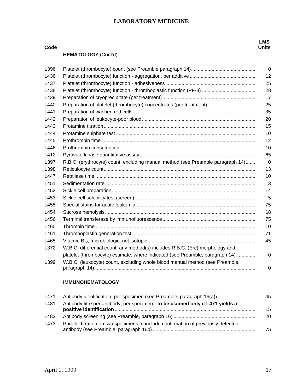**LMS Units**

#### **Code**

#### **HEMATOLOGY** (Cont'd)

| L396 |                                                                                 | $\overline{0}$ |
|------|---------------------------------------------------------------------------------|----------------|
| L436 |                                                                                 | 12             |
| L437 |                                                                                 | 25             |
| L438 |                                                                                 | 28             |
| L439 |                                                                                 | 17             |
| L440 | Preparation of platelet (thrombocyte) concentrates (per treatment)              | 25             |
| L441 |                                                                                 | 35             |
| L442 |                                                                                 | 20             |
| L443 |                                                                                 | 15             |
| L444 |                                                                                 | 10             |
| L445 |                                                                                 | 12             |
| L446 |                                                                                 | 10             |
| L412 |                                                                                 | 65             |
| L397 | R.B.C. (erythrocyte) count, excluding manual method (see Preamble paragraph 14) | $\Omega$       |
| L398 |                                                                                 | 13             |
| L447 |                                                                                 | 10             |
| L451 |                                                                                 | 3              |
| L452 |                                                                                 | 14             |
| L453 |                                                                                 | 5              |
| L455 |                                                                                 | 75             |
| L454 |                                                                                 | 18             |
| L456 |                                                                                 | 75             |
| L460 |                                                                                 | 10             |
| L461 |                                                                                 | 71             |
| L465 |                                                                                 | 45             |
| L372 | W.B.C. differential count, any method(s) includes R.B.C. (Erc) morphology and   |                |
|      | platelet (thrombocyte) estimate, where indicated (see Preamble, paragraph 14)   | 0              |
| L399 | W.B.C. (leukocyte) count, excluding whole blood manual method (see Preamble,    | 0              |
|      |                                                                                 |                |

#### **IMMUNOHEMATOLOGY**

| L471 | Antibody identification, per specimen (see Preamble, paragraph 16(a))              | 45 |
|------|------------------------------------------------------------------------------------|----|
| L481 | Antibody titre per antibody, per specimen - to be claimed only if L471 yields a    | 15 |
| L482 |                                                                                    | 20 |
| L473 | Parallel titration on two specimens to include confirmation of previously detected | 75 |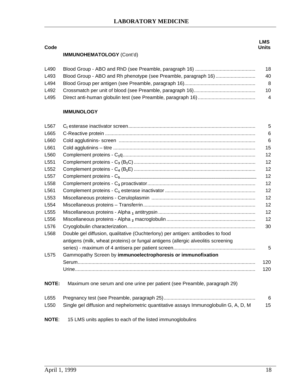| Code |                                  | LMS.<br>Units |
|------|----------------------------------|---------------|
|      | <b>IMMUNOHEMATOLOGY</b> (Cont'd) |               |
|      |                                  |               |

| L490 | 18  |
|------|-----|
| L493 | 40  |
| L494 | -8  |
| L492 | 10  |
| L495 | - 4 |

#### **IMMUNOLOGY**

| L567             |                                                                                      | 5              |
|------------------|--------------------------------------------------------------------------------------|----------------|
| L665             |                                                                                      | 6              |
| L660             |                                                                                      | 6              |
| L661             |                                                                                      | 15             |
| L560             |                                                                                      | 12             |
| L <sub>551</sub> |                                                                                      | 12             |
| L552             |                                                                                      | 12             |
| L <sub>557</sub> |                                                                                      | 12             |
| L558             |                                                                                      | 12             |
| L561             |                                                                                      | 12             |
| L <sub>553</sub> |                                                                                      | 12             |
| L554             |                                                                                      | 12             |
| L555             |                                                                                      | 12             |
| L556             |                                                                                      | 12             |
| L576             |                                                                                      | 30             |
| L568             | Double gel diffusion, qualitative (Ouchterlony) per antigen: antibodies to food      |                |
|                  | antigens (milk, wheat proteins) or fungal antigens (allergic alveolitis screening    |                |
|                  |                                                                                      | 5              |
| L <sub>575</sub> | Gammopathy Screen by immunoelectrophoresis or immunofixation                         |                |
|                  |                                                                                      | 120            |
|                  |                                                                                      | 120            |
| <b>NOTE:</b>     | Maximum one serum and one urine per patient (see Preamble, paragraph 29)             |                |
| L655             |                                                                                      | $6\phantom{1}$ |
| L <sub>550</sub> | Single gel diffusion and nephelometric quantitative assays Immunoglobulin G, A, D, M | 15             |
| <b>NOTE:</b>     | 15 LMS units applies to each of the listed immunoglobulins                           |                |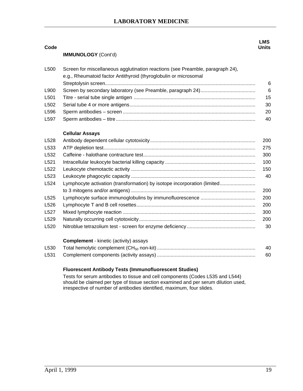|                            | <b>LMS</b>   |
|----------------------------|--------------|
|                            | <b>Units</b> |
| <b>IMMUNOLOGY</b> (Cont'd) |              |

| 6  |
|----|
| 6  |
| 15 |
| 30 |
| 20 |
| 40 |
|    |

#### **Cellular Assays**

**Code** 

|                                                                          | 200 |
|--------------------------------------------------------------------------|-----|
|                                                                          | 275 |
|                                                                          | 300 |
|                                                                          | 100 |
|                                                                          | 150 |
|                                                                          | 40  |
| Lymphocyte activation (transformation) by isotope incorporation (limited |     |
|                                                                          | 200 |
|                                                                          | 200 |
|                                                                          | 200 |
|                                                                          | 300 |
|                                                                          | 200 |
|                                                                          | 30  |
|                                                                          |     |

#### **Complement** - kinetic (activity) assays

| L530 | 40 |
|------|----|
| L531 | 60 |

#### **Fluorescent Antibody Tests (Immunofluorescent Studies)**

 Tests for serum antibodies to tissue and cell components (Codes L535 and L544) should be claimed per type of tissue section examined and per serum dilution used, irrespective of number of antibodies identified, maximum, four slides.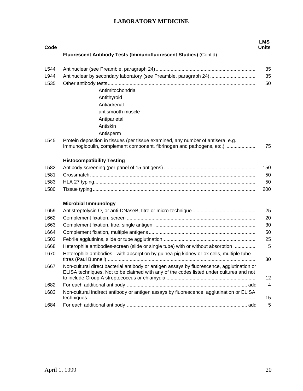| Code<br>Fluorescent Antibody Tests (Immunofluorescent Studies) (Cont'd)<br>L544<br>Antinuclear by secondary laboratory (see Preamble, paragraph 24)<br>L944<br>L535<br>Antimitochondrial<br>Antithyroid<br>Antiadrenal<br>antismooth muscle<br>Antiparietal | <b>Units</b><br>35<br>35<br>50 |
|-------------------------------------------------------------------------------------------------------------------------------------------------------------------------------------------------------------------------------------------------------------|--------------------------------|
|                                                                                                                                                                                                                                                             |                                |
|                                                                                                                                                                                                                                                             |                                |
|                                                                                                                                                                                                                                                             |                                |
|                                                                                                                                                                                                                                                             |                                |
|                                                                                                                                                                                                                                                             |                                |
|                                                                                                                                                                                                                                                             |                                |
|                                                                                                                                                                                                                                                             |                                |
|                                                                                                                                                                                                                                                             |                                |
|                                                                                                                                                                                                                                                             |                                |
| Antiskin                                                                                                                                                                                                                                                    |                                |
| Antisperm                                                                                                                                                                                                                                                   |                                |
| Protein deposition in tissues (per tissue examined, any number of antisera, e.g.,<br>L545<br>Immunoglobulin, complement component, fibrinogen and pathogens, etc.)                                                                                          | 75                             |
| <b>Histocompatibility Testing</b>                                                                                                                                                                                                                           |                                |
| L582                                                                                                                                                                                                                                                        | 150                            |
| L581                                                                                                                                                                                                                                                        | 50                             |
| L583                                                                                                                                                                                                                                                        | 50                             |
| L580                                                                                                                                                                                                                                                        | 200                            |
| <b>Microbial Immunology</b>                                                                                                                                                                                                                                 |                                |
| L659                                                                                                                                                                                                                                                        | 25                             |
| L662                                                                                                                                                                                                                                                        | 20                             |
| L663                                                                                                                                                                                                                                                        | 30                             |
| L664                                                                                                                                                                                                                                                        | 50                             |
| L <sub>503</sub>                                                                                                                                                                                                                                            | 25                             |
| Heterophile antibodies-screen (slide or single tube) with or without absorption<br>L668                                                                                                                                                                     | 5                              |
| Heterophile antibodies - with absorption by guinea pig kidney or ox cells, multiple tube<br>L670<br>titres (Paul Bunnell)                                                                                                                                   | 30                             |
| Non-cultural direct bacterial antibody or antigen assays by fluorescence, agglutination or<br>L667<br>ELISA techniques. Not to be claimed with any of the codes listed under cultures and not                                                               | 12                             |
| L682                                                                                                                                                                                                                                                        | $\overline{4}$                 |
| Non-cultural indirect antibody or antigen assays by fluorescence, agglutination or ELISA<br>L683                                                                                                                                                            |                                |
| L684                                                                                                                                                                                                                                                        | 15                             |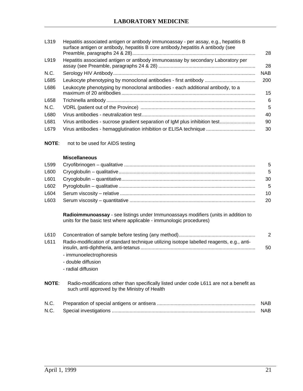| L319 | Hepatitis associated antigen or antibody immunoassay - per assay, e.g., hepatitis B<br>surface antigen or antibody, hepatitis B core antibody, hepatitis A antibody (see | 28         |
|------|--------------------------------------------------------------------------------------------------------------------------------------------------------------------------|------------|
| L919 | Hepatitis associated antigen or antibody immunoassay by secondary Laboratory per                                                                                         | 28         |
| N.C. |                                                                                                                                                                          | <b>NAB</b> |
| L685 |                                                                                                                                                                          | 200        |
| L686 | Leukocyte phenotyping by monoclonal antibodies - each additional antibody, to a                                                                                          | 15         |
| L658 |                                                                                                                                                                          | 6          |
| N.C. |                                                                                                                                                                          | 5          |
| L680 |                                                                                                                                                                          | 40         |
| L681 | Virus antibodies - sucrose gradient separation of IgM plus inhibition test                                                                                               | 90         |
| L679 | Virus antibodies - hemagglutination inhibition or ELISA technique                                                                                                        | 30         |
|      |                                                                                                                                                                          |            |

**NOTE**: not to be used for AIDS testing

#### **Miscellaneous**

|  | - 5 |
|--|-----|
|  | -30 |
|  | - 5 |
|  | -10 |
|  |     |

**Radioimmunoassay** - see listings under Immunoassays modifiers (units in addition to units for the basic test where applicable - immunologic procedures)

| L610 |                                                                                           |    |
|------|-------------------------------------------------------------------------------------------|----|
| L611 | Radio-modification of standard technique utilizing isotope labelled reagents, e.g., anti- | 50 |

- immunoelectrophoresis
- double diffusion
- radial diffusion

| <b>NOTE:</b> | Radio-modifications other than specifically listed under code L611 are not a benefit as |
|--------------|-----------------------------------------------------------------------------------------|
|              | such until approved by the Ministry of Health                                           |

| N.C. | <b>NAB</b> |
|------|------------|
|      | <b>NAB</b> |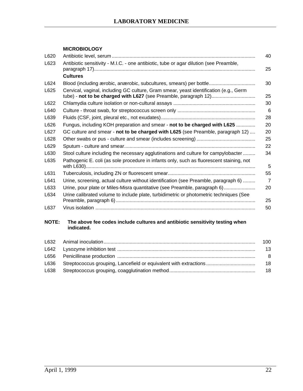#### **MICROBIOLOGY**

| L620 |                                                                                                                                                           | 40             |
|------|-----------------------------------------------------------------------------------------------------------------------------------------------------------|----------------|
| L623 | Antibiotic sensitivity - M.I.C. - one antibiotic, tube or agar dilution (see Preamble,                                                                    | 25             |
|      | <b>Cultures</b>                                                                                                                                           |                |
| L624 | Blood (including ærobic, anærobic, subcultures, smears) per bottle                                                                                        | 30             |
| L625 | Cervical, vaginal, including GC culture, Gram smear, yeast identification (e.g., Germ<br>tube) - not to be charged with L627 (see Preamble, paragraph 12) | 25             |
| L622 |                                                                                                                                                           | 30             |
| L640 |                                                                                                                                                           | 6              |
| L639 |                                                                                                                                                           | 28             |
| L626 | Fungus, including KOH preparation and smear - not to be charged with L625                                                                                 | 20             |
| L627 | GC culture and smear - not to be charged with L625 (see Preamble, paragraph 12)                                                                           | 20             |
| L628 |                                                                                                                                                           | 25             |
| L629 |                                                                                                                                                           | 22             |
| L630 | Stool culture including the necessary agglutinations and culture for campylobacter                                                                        | 34             |
| L635 | Pathogenic E. coli (as sole procedure in infants only, such as fluorescent staining, not                                                                  | 5              |
| L631 |                                                                                                                                                           | 55             |
| L641 | Urine, screening, actual culture without identification (see Preamble, paragraph 6)                                                                       | $\overline{7}$ |
| L633 | Urine, pour plate or Miles-Misra quantitative (see Preamble, paragraph 6)                                                                                 | 20             |
| L634 | Urine calibrated volume to include plate, turbidimetric or photometric techniques (See                                                                    | 25             |
| L637 |                                                                                                                                                           | 50             |
|      |                                                                                                                                                           |                |

#### **NOTE: The above fee codes include cultures and antibiotic sensitivity testing when indicated.**

|  | 100 |
|--|-----|
|  | 13  |
|  | - 8 |
|  | -18 |
|  | -18 |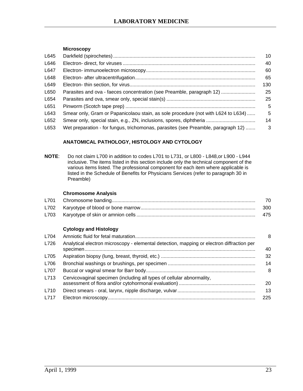#### **Microscopy**

|                                                                                   | 10  |
|-----------------------------------------------------------------------------------|-----|
|                                                                                   | 40  |
|                                                                                   | 60  |
|                                                                                   | 65  |
|                                                                                   | 130 |
| Parasites and ova - faeces concentration (see Preamble, paragraph 12)             | 25  |
|                                                                                   | 25  |
|                                                                                   | 5   |
| Smear only, Gram or Papanicolaou stain, as sole procedure (not with L624 to L634) | 5   |
|                                                                                   | 14  |
| Wet preparation - for fungus, trichomonas, parasites (see Preamble, paragraph 12) | 3   |
|                                                                                   |     |

#### **ANATOMICAL PATHOLOGY, HISTOLOGY AND CYTOLOGY**

**NOTE**: Do not claim L700 in addition to codes L701 to L731, or L800 - L848,or L900 - L944 inclusive. The items listed in this section include only the technical component of the various items listed. The professional component for each item where applicable is listed in the Schedule of Benefits for Physicians Services (refer to paragraph 30 in Preamble)

#### **Chromosome Analysis**

|  | 70  |
|--|-----|
|  | 300 |
|  | 475 |

#### **Cytology and Histology**

| L704 |                                                                                           | 8   |
|------|-------------------------------------------------------------------------------------------|-----|
| L726 | Analytical electron microscopy - elemental detection, mapping or electron diffraction per | 40  |
| L705 |                                                                                           | 32  |
| L706 |                                                                                           | 14  |
| L707 |                                                                                           | 8   |
| L713 | Cervicovaginal specimen (including all types of cellular abnormality,                     | 20  |
| L710 |                                                                                           | 13  |
| L717 |                                                                                           | 225 |
|      |                                                                                           |     |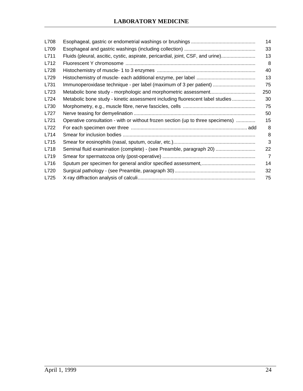| L708 |                                                                                 | 14             |
|------|---------------------------------------------------------------------------------|----------------|
| L709 |                                                                                 | 33             |
| L711 | Fluids (pleural, ascitic, cystic, aspirate, pericardial, joint, CSF, and urine) | 13             |
| L712 |                                                                                 | 8              |
| L728 |                                                                                 | 40             |
| L729 |                                                                                 | 13             |
| L731 | Immunoperoxidase technique - per label (maximum of 3 per patient)               | 75             |
| L723 |                                                                                 | 250            |
| L724 | Metabolic bone study - kinetic assessment including fluorescent label studies   | 30             |
| L730 |                                                                                 | 75             |
| L727 |                                                                                 | 50             |
| L721 | Operative consultation - with or without frozen section (up to three specimens) | 15             |
| L722 |                                                                                 | 8              |
| L714 |                                                                                 | 8              |
| L715 |                                                                                 | 3              |
| L718 | Seminal fluid examination (complete) - (see Preamble, paragraph 20)             | 22             |
| L719 |                                                                                 | $\overline{7}$ |
| L716 |                                                                                 | 14             |
| L720 |                                                                                 | 32             |
| L725 |                                                                                 | 75             |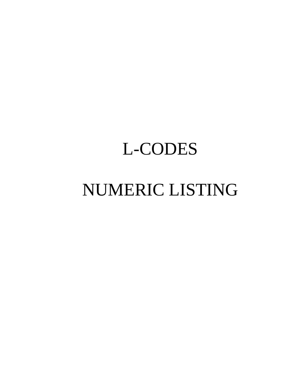# L-CODES

# NUMERIC LISTING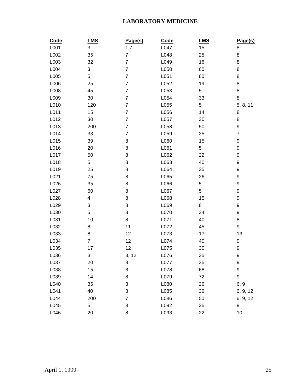| Code | LMS                     | Page(s)                  | Code | <b>LMS</b> | Page(s)        |
|------|-------------------------|--------------------------|------|------------|----------------|
| L001 | 3                       | 1,7                      | L047 | 15         | 8              |
| L002 | 35                      | $\overline{7}$           | L048 | 25         | 8              |
| L003 | 32                      | $\overline{7}$           | L049 | 16         | 8              |
| L004 | 3                       | $\overline{7}$           | L050 | 60         | 8              |
| L005 | 5                       | $\overline{7}$           | L051 | 80         | 8              |
| L006 | 25                      | $\overline{7}$           | L052 | 19         | 8              |
| L008 | 45                      | $\overline{\mathbf{7}}$  | L053 | 5          | 8              |
| L009 | 30                      | $\overline{\mathcal{I}}$ | L054 | 33         | 8              |
| L010 | 120                     | $\overline{7}$           | L055 | 5          | 5, 8, 11       |
| L011 | 15                      | $\overline{7}$           | L056 | 14         | 8              |
| L012 | 30                      | $\overline{7}$           | L057 | 30         | 8              |
| L013 | 200                     | $\overline{7}$           | L058 | 50         | 9              |
| L014 | 33                      | $\boldsymbol{7}$         | L059 | 25         | $\overline{7}$ |
| L015 | 39                      | 8                        | L060 | 15         | 9              |
| L016 | 20                      | 8                        | L061 | 5          | 9              |
| L017 | 50                      | 8                        | L062 | 22         | 9              |
| L018 | 5                       | 8                        | L063 | 40         | 9              |
| L019 | 25                      | 8                        | L064 | 35         | 9              |
| L021 | 75                      | 8                        | L065 | 26         | 9              |
| L026 | 35                      | 8                        | L066 | 5          | 9              |
| L027 | 60                      | 8                        | L067 | 5          | 9              |
| L028 | $\overline{\mathbf{4}}$ | 8                        | L068 | 15         | 9              |
| L029 | 3                       | 8                        | L069 | 8          | 9              |
| L030 | 5                       | 8                        | L070 | 34         | 9              |
| L031 | 10                      | 8                        | L071 | 40         | 8              |
| L032 | 8                       | 11                       | L072 | 45         | 9              |
| L033 | 8                       | 12                       | L073 | 17         | 13             |
| L034 | $\overline{7}$          | 12                       | L074 | 40         | 9              |
| L035 | 17                      | 12                       | L075 | 30         | 9              |
| L036 | 3                       | 3, 12                    | L076 | 35         | 9              |
| L037 | 20                      | 8                        | L077 | 35         | 9              |
| L038 | 15                      | 8                        | L078 | 68         | 9              |
| L039 | 14                      | 8                        | L079 | 72         | 9              |
| L040 | 35                      | 8                        | L080 | 26         | 6, 9           |
| L041 | 40                      | 8                        | L085 | 36         | 6, 9, 12       |
| L044 | 200                     | $\overline{\mathbf{7}}$  | L086 | 50         | 6, 9, 12       |
| L045 | 5                       | 8                        | L092 | 35         | 9              |
| L046 | 20                      | 8                        | L093 | 22         | 10             |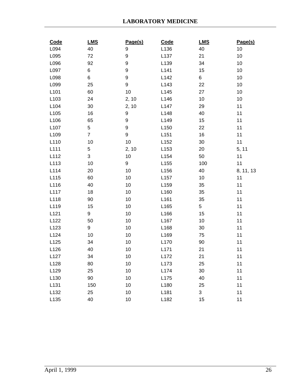| Code | LMS            | Page(s) | Code | <b>LMS</b> | Page(s)   |
|------|----------------|---------|------|------------|-----------|
| L094 | 40             | 9       | L136 | 40         | 10        |
| L095 | 72             | 9       | L137 | 21         | 10        |
| L096 | 92             | 9       | L139 | 34         | 10        |
| L097 | 6              | 9       | L141 | 15         | 10        |
| L098 | 6              | 9       | L142 | 6          | 10        |
| L099 | 25             | 9       | L143 | 22         | 10        |
| L101 | 60             | 10      | L145 | 27         | 10        |
| L103 | 24             | 2, 10   | L146 | 10         | 10        |
| L104 | 30             | 2, 10   | L147 | 29         | 11        |
| L105 | 16             | 9       | L148 | 40         | 11        |
| L106 | 65             | 9       | L149 | 15         | 11        |
| L107 | 5              | 9       | L150 | 22         | 11        |
| L109 | $\overline{7}$ | 9       | L151 | 16         | 11        |
| L110 | 10             | 10      | L152 | 30         | 11        |
| L111 | 5              | 2, 10   | L153 | 20         | 5, 11     |
| L112 | 3              | 10      | L154 | 50         | 11        |
| L113 | 10             | 9       | L155 | 100        | 11        |
| L114 | 20             | 10      | L156 | 40         | 8, 11, 13 |
| L115 | 60             | 10      | L157 | 10         | 11        |
| L116 | 40             | 10      | L159 | 35         | 11        |
| L117 | 18             | 10      | L160 | 35         | 11        |
| L118 | 90             | 10      | L161 | 35         | 11        |
| L119 | 15             | 10      | L165 | 5          | 11        |
| L121 | 9              | 10      | L166 | 15         | 11        |
| L122 | 50             | 10      | L167 | 10         | 11        |
| L123 | 9              | 10      | L168 | 30         | 11        |
| L124 | 10             | 10      | L169 | 75         | 11        |
| L125 | 34             | 10      | L170 | 90         | 11        |
| L126 | 40             | 10      | L171 | 21         | 11        |
| L127 | 34             | 10      | L172 | 21         | 11        |
| L128 | 80             | 10      | L173 | 25         | 11        |
| L129 | 25             | 10      | L174 | 30         | 11        |
| L130 | 90             | 10      | L175 | 40         | 11        |
| L131 | 150            | 10      | L180 | 25         | 11        |
| L132 | 25             | 10      | L181 | 3          | 11        |
| L135 | 40             | 10      | L182 | 15         | 11        |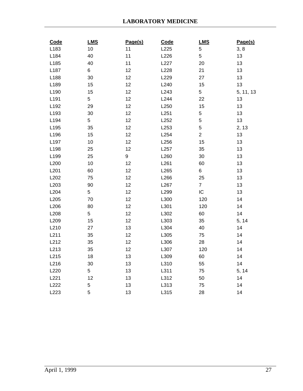| Code             | LMS | Page(s) | Code | LMS            | Page(s)   |
|------------------|-----|---------|------|----------------|-----------|
| L183             | 10  | 11      | L225 | 5              | 3, 8      |
| L184             | 40  | 11      | L226 | 5              | 13        |
| L185             | 40  | 11      | L227 | 20             | 13        |
| L187             | 6   | 12      | L228 | 21             | 13        |
| L188             | 30  | 12      | L229 | 27             | 13        |
| L189             | 15  | 12      | L240 | 15             | 13        |
| L190             | 15  | 12      | L243 | 5              | 5, 11, 13 |
| L <sub>191</sub> | 5   | 12      | L244 | 22             | 13        |
| L192             | 29  | 12      | L250 | 15             | 13        |
| L193             | 30  | 12      | L251 | 5              | 13        |
| L194             | 5   | 12      | L252 | 5              | 13        |
| L195             | 35  | 12      | L253 | 5              | 2, 13     |
| L196             | 15  | 12      | L254 | $\overline{c}$ | 13        |
| L197             | 10  | 12      | L256 | 15             | 13        |
| L198             | 25  | 12      | L257 | 35             | 13        |
| L199             | 25  | 9       | L260 | 30             | 13        |
| L200             | 10  | 12      | L261 | 60             | 13        |
| L <sub>201</sub> | 60  | 12      | L265 | 6              | 13        |
| L202             | 75  | 12      | L266 | 25             | 13        |
| L203             | 90  | 12      | L267 | $\overline{7}$ | 13        |
| L204             | 5   | 12      | L299 | ${\sf IC}$     | 13        |
| L205             | 70  | 12      | L300 | 120            | 14        |
| L206             | 80  | 12      | L301 | 120            | 14        |
| L208             | 5   | 12      | L302 | 60             | 14        |
| L209             | 15  | 12      | L303 | 35             | 5, 14     |
| L210             | 27  | 13      | L304 | 40             | 14        |
| L211             | 35  | 12      | L305 | 75             | 14        |
| L212             | 35  | 12      | L306 | 28             | 14        |
| L213             | 35  | 12      | L307 | 120            | 14        |
| L215             | 18  | 13      | L309 | 60             | 14        |
| L216             | 30  | 13      | L310 | 55             | 14        |
| L220             | 5   | 13      | L311 | 75             | 5, 14     |
| L221             | 12  | 13      | L312 | 50             | 14        |
| L222             | 5   | 13      | L313 | 75             | 14        |
| L223             | 5   | 13      | L315 | 28             | 14        |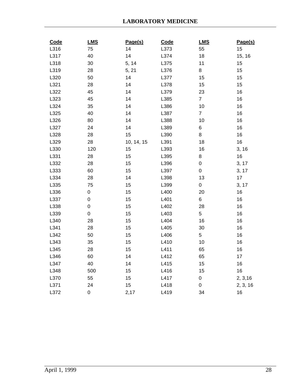| Code | LMS         | Page(s)    | Code | LMS                 | Page(s)  |
|------|-------------|------------|------|---------------------|----------|
| L316 | 75          | 14         | L373 | 55                  | 15       |
| L317 | 40          | 14         | L374 | 18                  | 15, 16   |
| L318 | 30          | 5, 14      | L375 | 11                  | 15       |
| L319 | 28          | 5, 21      | L376 | 8                   | 15       |
| L320 | 50          | 14         | L377 | 15                  | 15       |
| L321 | 28          | 14         | L378 | 15                  | 15       |
| L322 | 45          | 14         | L379 | 23                  | 16       |
| L323 | 45          | 14         | L385 | $\overline{7}$      | 16       |
| L324 | 35          | 14         | L386 | 10                  | 16       |
| L325 | 40          | 14         | L387 | $\overline{7}$      | 16       |
| L326 | 80          | 14         | L388 | 10                  | 16       |
| L327 | 24          | 14         | L389 | 6                   | 16       |
| L328 | 28          | 15         | L390 | 8                   | 16       |
| L329 | 28          | 10, 14, 15 | L391 | 18                  | 16       |
| L330 | 120         | 15         | L393 | 16                  | 3, 16    |
| L331 | 28          | 15         | L395 | 8                   | 16       |
| L332 | 28          | 15         | L396 | $\mathsf{O}\xspace$ | 3, 17    |
| L333 | 60          | 15         | L397 | $\mathbf 0$         | 3, 17    |
| L334 | 28          | 14         | L398 | 13                  | 17       |
| L335 | 75          | 15         | L399 | 0                   | 3, 17    |
| L336 | 0           | 15         | L400 | 20                  | $16\,$   |
| L337 | $\mathsf 0$ | 15         | L401 | 6                   | 16       |
| L338 | $\mathsf 0$ | 15         | L402 | 28                  | 16       |
| L339 | $\pmb{0}$   | 15         | L403 | 5                   | 16       |
| L340 | 28          | 15         | L404 | 16                  | 16       |
| L341 | 28          | 15         | L405 | $30\,$              | 16       |
| L342 | 50          | 15         | L406 | 5                   | 16       |
| L343 | 35          | 15         | L410 | 10                  | 16       |
| L345 | 28          | 15         | L411 | 65                  | 16       |
| L346 | 60          | 14         | L412 | 65                  | 17       |
| L347 | 40          | 14         | L415 | 15                  | 16       |
| L348 | 500         | 15         | L416 | 15                  | 16       |
| L370 | 55          | 15         | L417 | $\mathbf 0$         | 2, 3, 16 |
| L371 | 24          | 15         | L418 | $\mathsf 0$         | 2, 3, 16 |
| L372 | 0           | 2,17       | L419 | 34                  | 16       |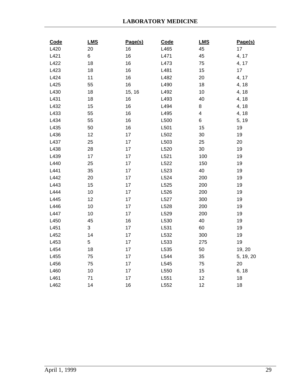| Code | <b>LMS</b> | Page(s) | Code | <b>LMS</b> | Page(s)   |
|------|------------|---------|------|------------|-----------|
| L420 | 20         | 16      | L465 | 45         | 17        |
| L421 | 6          | 16      | L471 | 45         | 4, 17     |
| L422 | 18         | 16      | L473 | 75         | 4, 17     |
| L423 | 18         | 16      | L481 | 15         | 17        |
| L424 | 11         | 16      | L482 | 20         | 4, 17     |
| L425 | 55         | 16      | L490 | 18         | 4, 18     |
| L430 | 18         | 15, 16  | L492 | 10         | 4, 18     |
| L431 | 18         | 16      | L493 | 40         | 4, 18     |
| L432 | 15         | 16      | L494 | 8          | 4, 18     |
| L433 | 55         | 16      | L495 | 4          | 4, 18     |
| L434 | 55         | 16      | L500 | 6          | 5, 19     |
| L435 | 50         | 16      | L501 | 15         | 19        |
| L436 | 12         | 17      | L502 | 30         | 19        |
| L437 | 25         | 17      | L503 | 25         | 20        |
| L438 | 28         | 17      | L520 | 30         | 19        |
| L439 | 17         | 17      | L521 | 100        | 19        |
| L440 | 25         | 17      | L522 | 150        | 19        |
| L441 | 35         | 17      | L523 | 40         | 19        |
| L442 | 20         | 17      | L524 | 200        | 19        |
| L443 | 15         | 17      | L525 | 200        | 19        |
| L444 | 10         | 17      | L526 | 200        | 19        |
| L445 | 12         | 17      | L527 | 300        | 19        |
| L446 | 10         | 17      | L528 | 200        | 19        |
| L447 | 10         | 17      | L529 | 200        | 19        |
| L450 | 45         | 16      | L530 | 40         | 19        |
| L451 | 3          | 17      | L531 | 60         | 19        |
| L452 | 14         | 17      | L532 | 300        | 19        |
| L453 | 5          | 17      | L533 | 275        | 19        |
| L454 | 18         | 17      | L535 | 50         | 19, 20    |
| L455 | 75         | 17      | L544 | 35         | 5, 19, 20 |
| L456 | 75         | 17      | L545 | 75         | 20        |
| L460 | 10         | 17      | L550 | 15         | 6, 18     |
| L461 | 71         | 17      | L551 | 12         | 18        |
| L462 | 14         | 16      | L552 | 12         | 18        |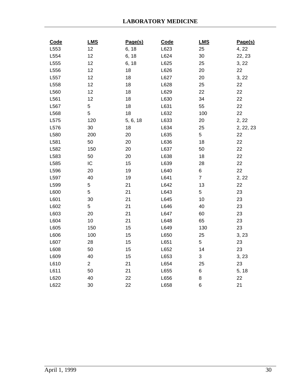| Code | <b>LMS</b>     | Page(s)  | Code | <b>LMS</b>     | Page(s)   |
|------|----------------|----------|------|----------------|-----------|
| L553 | 12             | 6, 18    | L623 | 25             | 4, 22     |
| L554 | 12             | 6, 18    | L624 | 30             | 22, 23    |
| L555 | 12             | 6, 18    | L625 | 25             | 3, 22     |
| L556 | 12             | 18       | L626 | 20             | 22        |
| L557 | 12             | 18       | L627 | 20             | 3, 22     |
| L558 | 12             | 18       | L628 | 25             | 22        |
| L560 | 12             | 18       | L629 | 22             | 22        |
| L561 | 12             | 18       | L630 | 34             | 22        |
| L567 | 5              | 18       | L631 | 55             | 22        |
| L568 | 5              | 18       | L632 | 100            | 22        |
| L575 | 120            | 5, 6, 18 | L633 | 20             | 2, 22     |
| L576 | $30\,$         | 18       | L634 | 25             | 2, 22, 23 |
| L580 | 200            | 20       | L635 | 5              | 22        |
| L581 | 50             | 20       | L636 | 18             | 22        |
| L582 | 150            | 20       | L637 | 50             | 22        |
| L583 | 50             | 20       | L638 | 18             | 22        |
| L585 | IC             | 15       | L639 | 28             | 22        |
| L596 | 20             | 19       | L640 | 6              | 22        |
| L597 | 40             | 19       | L641 | $\overline{7}$ | 2, 22     |
| L599 | 5              | 21       | L642 | 13             | 22        |
| L600 | 5              | 21       | L643 | 5              | 23        |
| L601 | 30             | 21       | L645 | 10             | 23        |
| L602 | 5              | 21       | L646 | 40             | 23        |
| L603 | 20             | 21       | L647 | 60             | 23        |
| L604 | 10             | 21       | L648 | 65             | 23        |
| L605 | 150            | 15       | L649 | 130            | 23        |
| L606 | 100            | 15       | L650 | 25             | 3, 23     |
| L607 | 28             | 15       | L651 | 5              | 23        |
| L608 | 50             | 15       | L652 | 14             | 23        |
| L609 | 40             | 15       | L653 | 3              | 3, 23     |
| L610 | $\overline{2}$ | 21       | L654 | 25             | 23        |
| L611 | 50             | 21       | L655 | 6              | 5, 18     |
| L620 | 40             | 22       | L656 | 8              | 22        |
| L622 | 30             | 22       | L658 | $\,6$          | 21        |